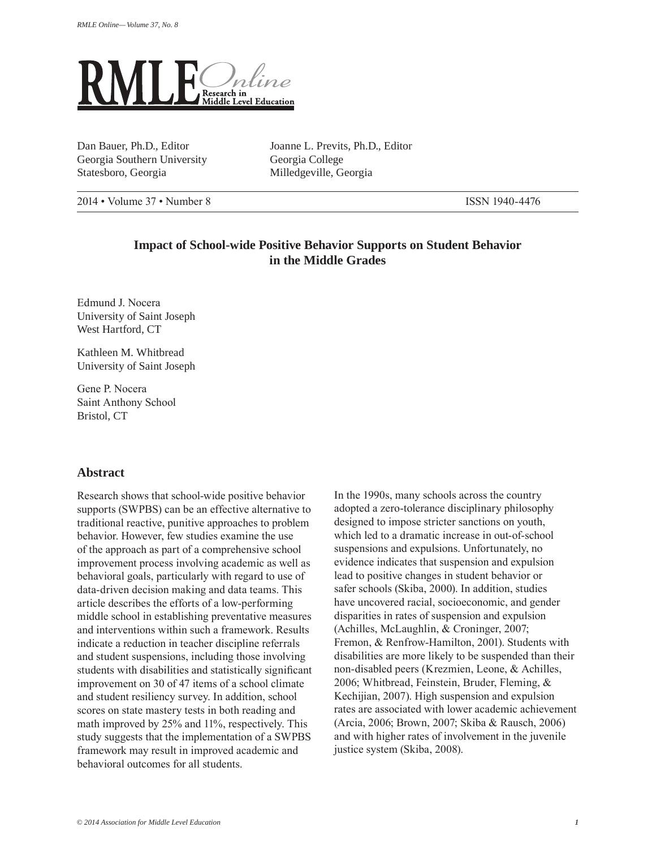

Georgia Southern University Georgia College Statesboro, Georgia Milledgeville, Georgia

Dan Bauer, Ph.D., Editor Joanne L. Previts, Ph.D., Editor

2014 • Volume 37 • Number 8 ISSN 1940-4476

# **Impact of School-wide Positive Behavior Supports on Student Behavior in the Middle Grades**

Edmund J. Nocera University of Saint Joseph West Hartford, CT

Kathleen M. Whitbread University of Saint Joseph

Gene P. Nocera Saint Anthony School Bristol, CT

### **Abstract**

Research shows that school-wide positive behavior supports (SWPBS) can be an effective alternative to traditional reactive, punitive approaches to problem behavior. However, few studies examine the use of the approach as part of a comprehensive school improvement process involving academic as well as behavioral goals, particularly with regard to use of data-driven decision making and data teams. This article describes the efforts of a low-performing middle school in establishing preventative measures and interventions within such a framework. Results indicate a reduction in teacher discipline referrals and student suspensions, including those involving students with disabilities and statistically significant improvement on 30 of 47 items of a school climate and student resiliency survey. In addition, school scores on state mastery tests in both reading and math improved by 25% and 11%, respectively. This study suggests that the implementation of a SWPBS framework may result in improved academic and behavioral outcomes for all students.

In the 1990s, many schools across the country adopted a zero-tolerance disciplinary philosophy designed to impose stricter sanctions on youth, which led to a dramatic increase in out-of-school suspensions and expulsions. Unfortunately, no evidence indicates that suspension and expulsion lead to positive changes in student behavior or safer schools (Skiba, 2000). In addition, studies have uncovered racial, socioeconomic, and gender disparities in rates of suspension and expulsion (Achilles, McLaughlin, & Croninger, 2007; Fremon, & Renfrow-Hamilton, 2001). Students with disabilities are more likely to be suspended than their non-disabled peers (Krezmien, Leone, & Achilles, 2006; Whitbread, Feinstein, Bruder, Fleming, & Kechijian, 2007). High suspension and expulsion rates are associated with lower academic achievement (Arcia, 2006; Brown, 2007; Skiba & Rausch, 2006) and with higher rates of involvement in the juvenile justice system (Skiba, 2008).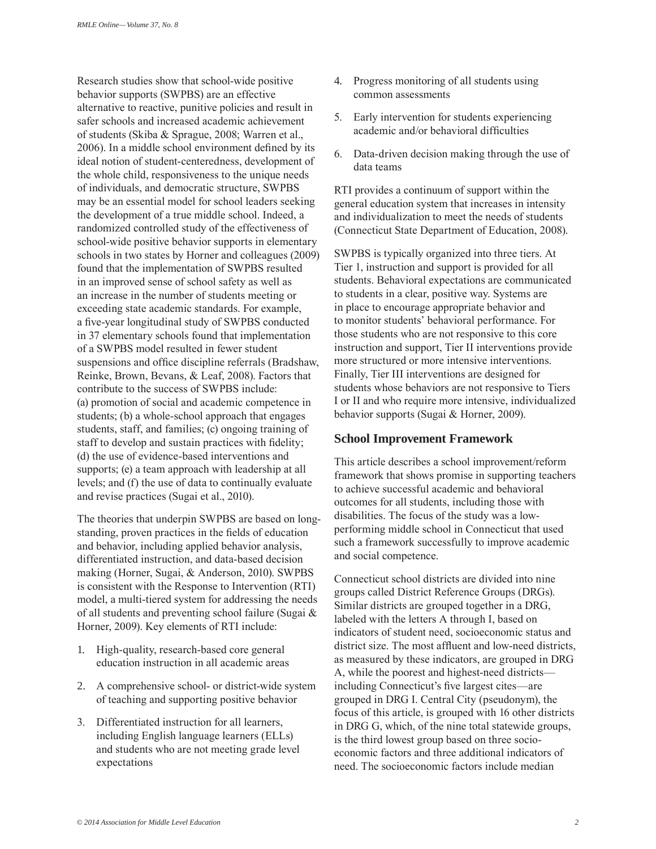Research studies show that school-wide positive behavior supports (SWPBS) are an effective alternative to reactive, punitive policies and result in safer schools and increased academic achievement of students (Skiba & Sprague, 2008; Warren et al., 2006). In a middle school environment defined by its ideal notion of student-centeredness, development of the whole child, responsiveness to the unique needs of individuals, and democratic structure, SWPBS may be an essential model for school leaders seeking the development of a true middle school. Indeed, a randomized controlled study of the effectiveness of school-wide positive behavior supports in elementary schools in two states by Horner and colleagues (2009) found that the implementation of SWPBS resulted in an improved sense of school safety as well as an increase in the number of students meeting or exceeding state academic standards. For example, a five-year longitudinal study of SWPBS conducted in 37 elementary schools found that implementation of a SWPBS model resulted in fewer student suspensions and office discipline referrals (Bradshaw, Reinke, Brown, Bevans, & Leaf, 2008). Factors that contribute to the success of SWPBS include: (a) promotion of social and academic competence in students; (b) a whole-school approach that engages students, staff, and families; (c) ongoing training of staff to develop and sustain practices with fidelity; (d) the use of evidence-based interventions and supports; (e) a team approach with leadership at all levels; and (f) the use of data to continually evaluate and revise practices (Sugai et al., 2010).

The theories that underpin SWPBS are based on longstanding, proven practices in the fields of education and behavior, including applied behavior analysis, differentiated instruction, and data-based decision making (Horner, Sugai, & Anderson, 2010). SWPBS is consistent with the Response to Intervention (RTI) model, a multi-tiered system for addressing the needs of all students and preventing school failure (Sugai & Horner, 2009). Key elements of RTI include:

- 1. High-quality, research-based core general education instruction in all academic areas
- 2. A comprehensive school- or district-wide system of teaching and supporting positive behavior
- 3. Differentiated instruction for all learners, including English language learners (ELLs) and students who are not meeting grade level expectations
- 4. Progress monitoring of all students using common assessments
- 5. Early intervention for students experiencing academic and/or behavioral difficulties
- 6. Data-driven decision making through the use of data teams

RTI provides a continuum of support within the general education system that increases in intensity and individualization to meet the needs of students (Connecticut State Department of Education, 2008).

SWPBS is typically organized into three tiers. At Tier 1, instruction and support is provided for all students. Behavioral expectations are communicated to students in a clear, positive way. Systems are in place to encourage appropriate behavior and to monitor students' behavioral performance. For those students who are not responsive to this core instruction and support, Tier II interventions provide more structured or more intensive interventions. Finally, Tier III interventions are designed for students whose behaviors are not responsive to Tiers I or II and who require more intensive, individualized behavior supports (Sugai & Horner, 2009).

### **School Improvement Framework**

This article describes a school improvement/reform framework that shows promise in supporting teachers to achieve successful academic and behavioral outcomes for all students, including those with disabilities. The focus of the study was a lowperforming middle school in Connecticut that used such a framework successfully to improve academic and social competence.

Connecticut school districts are divided into nine groups called District Reference Groups (DRGs). Similar districts are grouped together in a DRG, labeled with the letters A through I, based on indicators of student need, socioeconomic status and district size. The most affluent and low-need districts, as measured by these indicators, are grouped in DRG A, while the poorest and highest-need districts including Connecticut's five largest cites—are grouped in DRG I. Central City (pseudonym), the focus of this article, is grouped with 16 other districts in DRG G, which, of the nine total statewide groups, is the third lowest group based on three socioeconomic factors and three additional indicators of need. The socioeconomic factors include median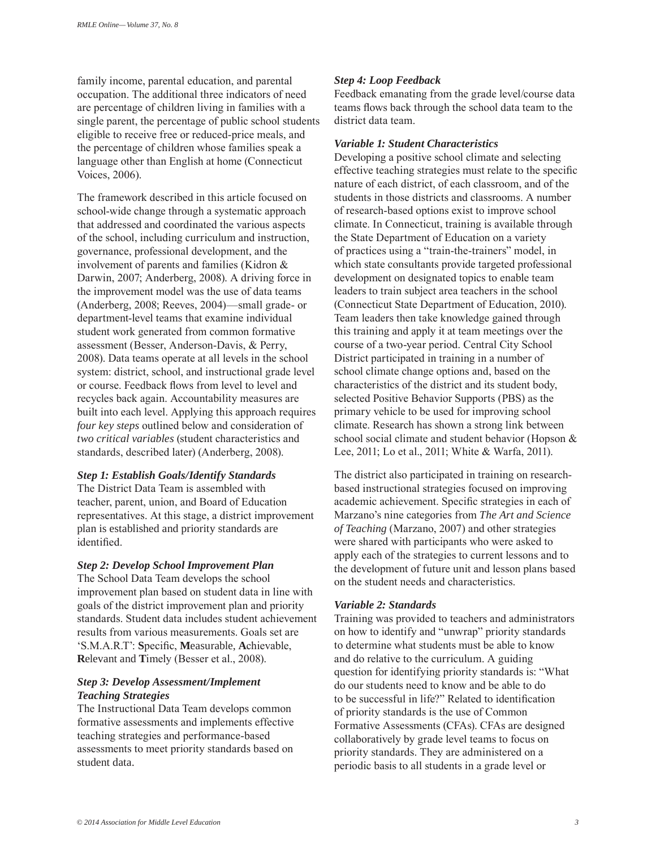family income, parental education, and parental occupation. The additional three indicators of need are percentage of children living in families with a single parent, the percentage of public school students eligible to receive free or reduced-price meals, and the percentage of children whose families speak a language other than English at home (Connecticut Voices, 2006).

The framework described in this article focused on school-wide change through a systematic approach that addressed and coordinated the various aspects of the school, including curriculum and instruction, governance, professional development, and the involvement of parents and families (Kidron & Darwin, 2007; Anderberg, 2008). A driving force in the improvement model was the use of data teams (Anderberg, 2008; Reeves, 2004)—small grade- or department-level teams that examine individual student work generated from common formative assessment (Besser, Anderson-Davis, & Perry, 2008). Data teams operate at all levels in the school system: district, school, and instructional grade level or course. Feedback flows from level to level and recycles back again. Accountability measures are built into each level. Applying this approach requires *four key steps* outlined below and consideration of *two critical variables* (student characteristics and standards, described later) (Anderberg, 2008).

### *Step 1: Establish Goals/Identify Standards*

The District Data Team is assembled with teacher, parent, union, and Board of Education representatives. At this stage, a district improvement plan is established and priority standards are identified.

### *Step 2: Develop School Improvement Plan*

The School Data Team develops the school improvement plan based on student data in line with goals of the district improvement plan and priority standards. Student data includes student achievement results from various measurements. Goals set are 'S.M.A.R.T': **S**pecific, **M**easurable, **A**chievable, **R**elevant and **T**imely (Besser et al., 2008).

### *Step 3: Develop Assessment/Implement Teaching Strategies*

The Instructional Data Team develops common formative assessments and implements effective teaching strategies and performance-based assessments to meet priority standards based on student data.

### *Step 4: Loop Feedback*

Feedback emanating from the grade level/course data teams flows back through the school data team to the district data team.

### *Variable 1: Student Characteristics*

Developing a positive school climate and selecting effective teaching strategies must relate to the specific nature of each district, of each classroom, and of the students in those districts and classrooms. A number of research-based options exist to improve school climate. In Connecticut, training is available through the State Department of Education on a variety of practices using a "train-the-trainers" model, in which state consultants provide targeted professional development on designated topics to enable team leaders to train subject area teachers in the school (Connecticut State Department of Education, 2010). Team leaders then take knowledge gained through this training and apply it at team meetings over the course of a two-year period. Central City School District participated in training in a number of school climate change options and, based on the characteristics of the district and its student body, selected Positive Behavior Supports (PBS) as the primary vehicle to be used for improving school climate. Research has shown a strong link between school social climate and student behavior (Hopson & Lee, 2011; Lo et al., 2011; White & Warfa, 2011).

The district also participated in training on researchbased instructional strategies focused on improving academic achievement. Specific strategies in each of Marzano's nine categories from *The Art and Science of Teaching* (Marzano, 2007) and other strategies were shared with participants who were asked to apply each of the strategies to current lessons and to the development of future unit and lesson plans based on the student needs and characteristics.

#### *Variable 2: Standards*

Training was provided to teachers and administrators on how to identify and "unwrap" priority standards to determine what students must be able to know and do relative to the curriculum. A guiding question for identifying priority standards is: "What do our students need to know and be able to do to be successful in life?" Related to identification of priority standards is the use of Common Formative Assessments (CFAs). CFAs are designed collaboratively by grade level teams to focus on priority standards. They are administered on a periodic basis to all students in a grade level or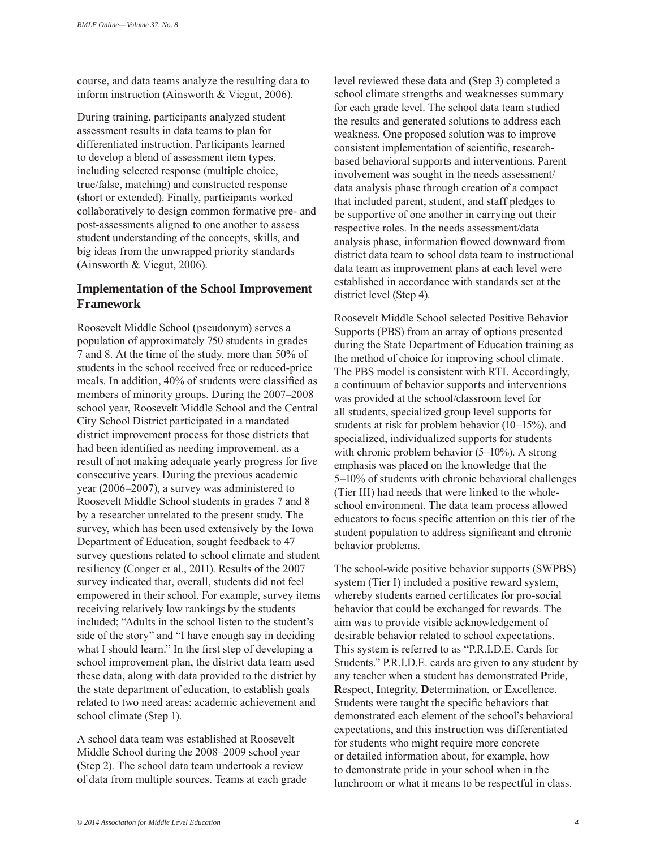course, and data teams analyze the resulting data to inform instruction (Ainsworth & Viegut, 2006).

During training, participants analyzed student assessment results in data teams to plan for differentiated instruction. Participants learned to develop a blend of assessment item types, including selected response (multiple choice, true/false, matching) and constructed response (short or extended). Finally, participants worked collaboratively to design common formative pre- and post-assessments aligned to one another to assess student understanding of the concepts, skills, and big ideas from the unwrapped priority standards (Ainsworth & Viegut, 2006).

# **Implementation of the School Improvement Framework**

Roosevelt Middle School (pseudonym) serves a population of approximately 750 students in grades 7 and 8. At the time of the study, more than 50% of students in the school received free or reduced-price meals. In addition, 40% of students were classified as members of minority groups. During the 2007–2008 school year, Roosevelt Middle School and the Central City School District participated in a mandated district improvement process for those districts that had been identified as needing improvement, as a result of not making adequate yearly progress for five consecutive years. During the previous academic year (2006–2007), a survey was administered to Roosevelt Middle School students in grades 7 and 8 by a researcher unrelated to the present study. The survey, which has been used extensively by the Iowa Department of Education, sought feedback to 47 survey questions related to school climate and student resiliency (Conger et al., 2011). Results of the 2007 survey indicated that, overall, students did not feel empowered in their school. For example, survey items receiving relatively low rankings by the students included; "Adults in the school listen to the student's side of the story" and "I have enough say in deciding what I should learn." In the first step of developing a school improvement plan, the district data team used these data, along with data provided to the district by the state department of education, to establish goals related to two need areas: academic achievement and school climate (Step 1).

A school data team was established at Roosevelt Middle School during the 2008–2009 school year (Step 2). The school data team undertook a review of data from multiple sources. Teams at each grade

level reviewed these data and (Step 3) completed a school climate strengths and weaknesses summary for each grade level. The school data team studied the results and generated solutions to address each weakness. One proposed solution was to improve consistent implementation of scientific, researchbased behavioral supports and interventions. Parent involvement was sought in the needs assessment/ data analysis phase through creation of a compact that included parent, student, and staff pledges to be supportive of one another in carrying out their respective roles. In the needs assessment/data analysis phase, information flowed downward from district data team to school data team to instructional data team as improvement plans at each level were established in accordance with standards set at the district level (Step 4).

Roosevelt Middle School selected Positive Behavior Supports (PBS) from an array of options presented during the State Department of Education training as the method of choice for improving school climate. The PBS model is consistent with RTI. Accordingly, a continuum of behavior supports and interventions was provided at the school/classroom level for all students, specialized group level supports for students at risk for problem behavior (10–15%), and specialized, individualized supports for students with chronic problem behavior  $(5-10\%)$ . A strong emphasis was placed on the knowledge that the 5–10% of students with chronic behavioral challenges (Tier III) had needs that were linked to the wholeschool environment. The data team process allowed educators to focus specific attention on this tier of the student population to address significant and chronic behavior problems.

The school-wide positive behavior supports (SWPBS) system (Tier I) included a positive reward system, whereby students earned certificates for pro-social behavior that could be exchanged for rewards. The aim was to provide visible acknowledgement of desirable behavior related to school expectations. This system is referred to as "P.R.I.D.E. Cards for Students." P.R.I.D.E. cards are given to any student by any teacher when a student has demonstrated **P**ride, **R**espect, **I**ntegrity, **D**etermination, or **E**xcellence. Students were taught the specific behaviors that demonstrated each element of the school's behavioral expectations, and this instruction was differentiated for students who might require more concrete or detailed information about, for example, how to demonstrate pride in your school when in the lunchroom or what it means to be respectful in class.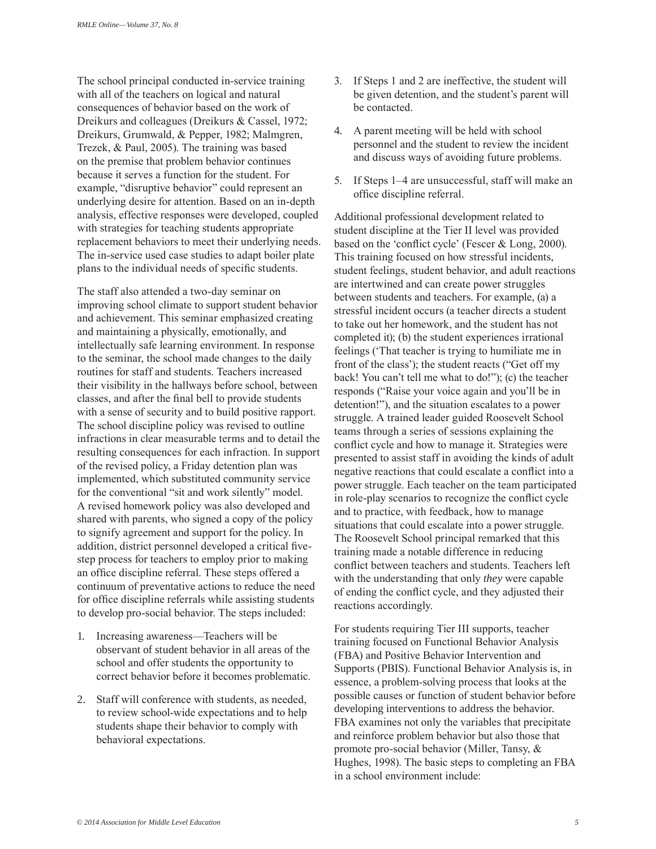The school principal conducted in-service training with all of the teachers on logical and natural consequences of behavior based on the work of Dreikurs and colleagues (Dreikurs & Cassel, 1972; Dreikurs, Grumwald, & Pepper, 1982; Malmgren, Trezek, & Paul, 2005). The training was based on the premise that problem behavior continues because it serves a function for the student. For example, "disruptive behavior" could represent an underlying desire for attention. Based on an in-depth analysis, effective responses were developed, coupled with strategies for teaching students appropriate replacement behaviors to meet their underlying needs. The in-service used case studies to adapt boiler plate plans to the individual needs of specific students.

The staff also attended a two-day seminar on improving school climate to support student behavior and achievement. This seminar emphasized creating and maintaining a physically, emotionally, and intellectually safe learning environment. In response to the seminar, the school made changes to the daily routines for staff and students. Teachers increased their visibility in the hallways before school, between classes, and after the final bell to provide students with a sense of security and to build positive rapport. The school discipline policy was revised to outline infractions in clear measurable terms and to detail the resulting consequences for each infraction. In support of the revised policy, a Friday detention plan was implemented, which substituted community service for the conventional "sit and work silently" model. A revised homework policy was also developed and shared with parents, who signed a copy of the policy to signify agreement and support for the policy. In addition, district personnel developed a critical fivestep process for teachers to employ prior to making an office discipline referral. These steps offered a continuum of preventative actions to reduce the need for office discipline referrals while assisting students to develop pro-social behavior. The steps included:

- 1. Increasing awareness—Teachers will be observant of student behavior in all areas of the school and offer students the opportunity to correct behavior before it becomes problematic.
- 2. Staff will conference with students, as needed, to review school-wide expectations and to help students shape their behavior to comply with behavioral expectations.
- 3. If Steps 1 and 2 are ineffective, the student will be given detention, and the student's parent will be contacted.
- 4. A parent meeting will be held with school personnel and the student to review the incident and discuss ways of avoiding future problems.
- 5. If Steps 1–4 are unsuccessful, staff will make an office discipline referral.

Additional professional development related to student discipline at the Tier II level was provided based on the 'conflict cycle' (Fescer & Long, 2000). This training focused on how stressful incidents, student feelings, student behavior, and adult reactions are intertwined and can create power struggles between students and teachers. For example, (a) a stressful incident occurs (a teacher directs a student to take out her homework, and the student has not completed it); (b) the student experiences irrational feelings ('That teacher is trying to humiliate me in front of the class'); the student reacts ("Get off my back! You can't tell me what to do!"); (c) the teacher responds ("Raise your voice again and you'll be in detention!"), and the situation escalates to a power struggle. A trained leader guided Roosevelt School teams through a series of sessions explaining the conflict cycle and how to manage it. Strategies were presented to assist staff in avoiding the kinds of adult negative reactions that could escalate a conflict into a power struggle. Each teacher on the team participated in role-play scenarios to recognize the conflict cycle and to practice, with feedback, how to manage situations that could escalate into a power struggle. The Roosevelt School principal remarked that this training made a notable difference in reducing conflict between teachers and students. Teachers left with the understanding that only *they* were capable of ending the conflict cycle, and they adjusted their reactions accordingly.

For students requiring Tier III supports, teacher training focused on Functional Behavior Analysis (FBA) and Positive Behavior Intervention and Supports (PBIS). Functional Behavior Analysis is, in essence, a problem-solving process that looks at the possible causes or function of student behavior before developing interventions to address the behavior. FBA examines not only the variables that precipitate and reinforce problem behavior but also those that promote pro-social behavior (Miller, Tansy, & Hughes, 1998). The basic steps to completing an FBA in a school environment include: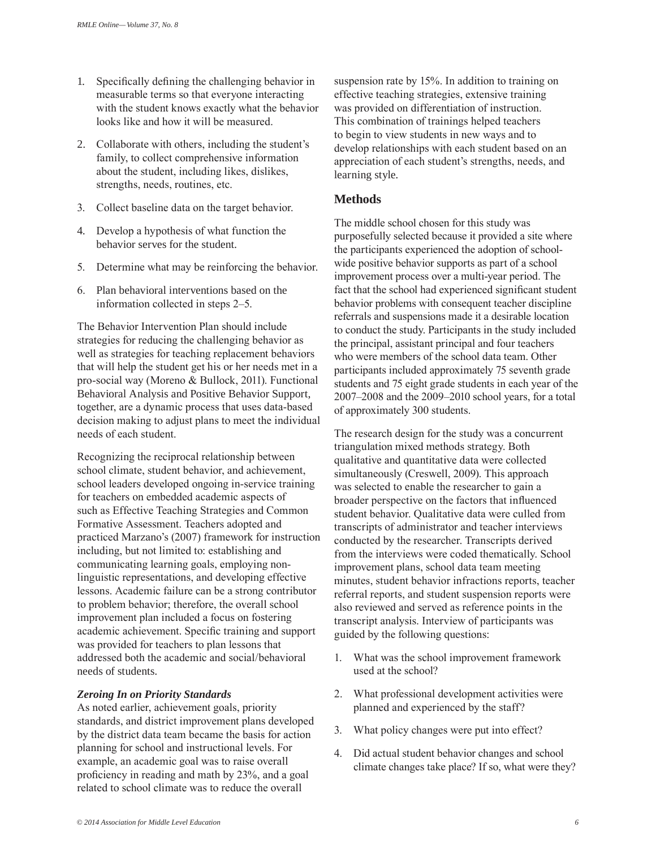- 1. Specifically defining the challenging behavior in measurable terms so that everyone interacting with the student knows exactly what the behavior looks like and how it will be measured.
- 2. Collaborate with others, including the student's family, to collect comprehensive information about the student, including likes, dislikes, strengths, needs, routines, etc.
- 3. Collect baseline data on the target behavior.
- 4. Develop a hypothesis of what function the behavior serves for the student.
- 5. Determine what may be reinforcing the behavior.
- 6. Plan behavioral interventions based on the information collected in steps 2–5.

The Behavior Intervention Plan should include strategies for reducing the challenging behavior as well as strategies for teaching replacement behaviors that will help the student get his or her needs met in a pro-social way (Moreno & Bullock, 2011). Functional Behavioral Analysis and Positive Behavior Support, together, are a dynamic process that uses data-based decision making to adjust plans to meet the individual needs of each student.

Recognizing the reciprocal relationship between school climate, student behavior, and achievement, school leaders developed ongoing in-service training for teachers on embedded academic aspects of such as Effective Teaching Strategies and Common Formative Assessment. Teachers adopted and practiced Marzano's (2007) framework for instruction including, but not limited to: establishing and communicating learning goals, employing nonlinguistic representations, and developing effective lessons. Academic failure can be a strong contributor to problem behavior; therefore, the overall school improvement plan included a focus on fostering academic achievement. Specific training and support was provided for teachers to plan lessons that addressed both the academic and social/behavioral needs of students.

#### *Zeroing In on Priority Standards*

As noted earlier, achievement goals, priority standards, and district improvement plans developed by the district data team became the basis for action planning for school and instructional levels. For example, an academic goal was to raise overall proficiency in reading and math by 23%, and a goal related to school climate was to reduce the overall

suspension rate by 15%. In addition to training on effective teaching strategies, extensive training was provided on differentiation of instruction. This combination of trainings helped teachers to begin to view students in new ways and to develop relationships with each student based on an appreciation of each student's strengths, needs, and learning style.

## **Methods**

The middle school chosen for this study was purposefully selected because it provided a site where the participants experienced the adoption of schoolwide positive behavior supports as part of a school improvement process over a multi-year period. The fact that the school had experienced significant student behavior problems with consequent teacher discipline referrals and suspensions made it a desirable location to conduct the study. Participants in the study included the principal, assistant principal and four teachers who were members of the school data team. Other participants included approximately 75 seventh grade students and 75 eight grade students in each year of the 2007–2008 and the 2009–2010 school years, for a total of approximately 300 students.

The research design for the study was a concurrent triangulation mixed methods strategy. Both qualitative and quantitative data were collected simultaneously (Creswell, 2009). This approach was selected to enable the researcher to gain a broader perspective on the factors that influenced student behavior. Qualitative data were culled from transcripts of administrator and teacher interviews conducted by the researcher. Transcripts derived from the interviews were coded thematically. School improvement plans, school data team meeting minutes, student behavior infractions reports, teacher referral reports, and student suspension reports were also reviewed and served as reference points in the transcript analysis. Interview of participants was guided by the following questions:

- 1. What was the school improvement framework used at the school?
- 2. What professional development activities were planned and experienced by the staff?
- 3. What policy changes were put into effect?
- 4. Did actual student behavior changes and school climate changes take place? If so, what were they?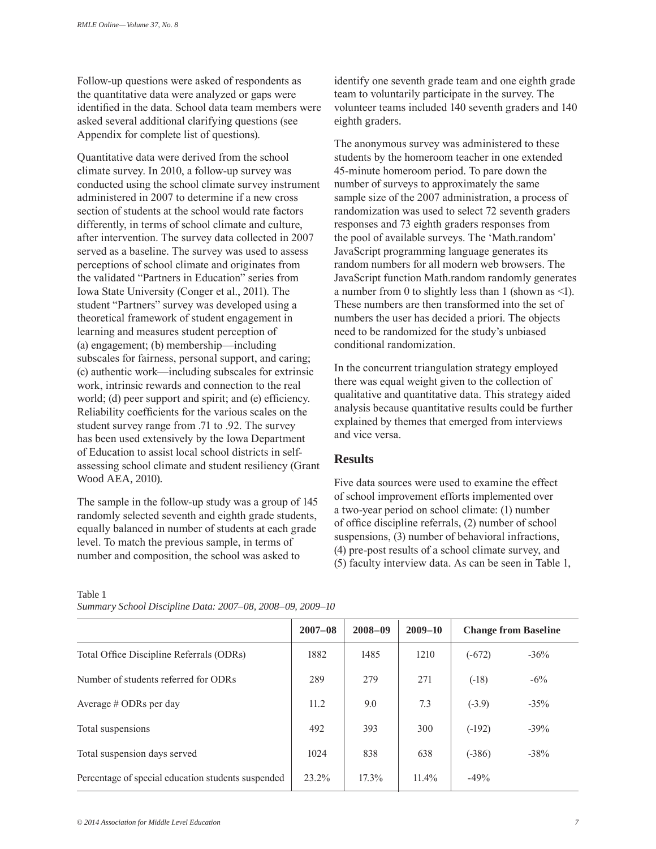Follow-up questions were asked of respondents as the quantitative data were analyzed or gaps were identified in the data. School data team members were asked several additional clarifying questions (see Appendix for complete list of questions).

Quantitative data were derived from the school climate survey. In 2010, a follow-up survey was conducted using the school climate survey instrument administered in 2007 to determine if a new cross section of students at the school would rate factors differently, in terms of school climate and culture, after intervention. The survey data collected in 2007 served as a baseline. The survey was used to assess perceptions of school climate and originates from the validated "Partners in Education" series from Iowa State University (Conger et al., 2011). The student "Partners" survey was developed using a theoretical framework of student engagement in learning and measures student perception of (a) engagement; (b) membership—including subscales for fairness, personal support, and caring; (c) authentic work—including subscales for extrinsic work, intrinsic rewards and connection to the real world; (d) peer support and spirit; and (e) efficiency. Reliability coefficients for the various scales on the student survey range from .71 to .92. The survey has been used extensively by the Iowa Department of Education to assist local school districts in selfassessing school climate and student resiliency (Grant Wood AEA, 2010).

The sample in the follow-up study was a group of 145 randomly selected seventh and eighth grade students, equally balanced in number of students at each grade level. To match the previous sample, in terms of number and composition, the school was asked to

identify one seventh grade team and one eighth grade team to voluntarily participate in the survey. The volunteer teams included 140 seventh graders and 140 eighth graders.

The anonymous survey was administered to these students by the homeroom teacher in one extended 45-minute homeroom period. To pare down the number of surveys to approximately the same sample size of the 2007 administration, a process of randomization was used to select 72 seventh graders responses and 73 eighth graders responses from the pool of available surveys. The 'Math.random' JavaScript programming language generates its random numbers for all modern web browsers. The JavaScript function Math.random randomly generates a number from 0 to slightly less than 1 (shown as  $\leq 1$ ). These numbers are then transformed into the set of numbers the user has decided a priori. The objects need to be randomized for the study's unbiased conditional randomization.

In the concurrent triangulation strategy employed there was equal weight given to the collection of qualitative and quantitative data. This strategy aided analysis because quantitative results could be further explained by themes that emerged from interviews and vice versa.

# **Results**

Five data sources were used to examine the effect of school improvement efforts implemented over a two-year period on school climate: (1) number of office discipline referrals, (2) number of school suspensions, (3) number of behavioral infractions, (4) pre-post results of a school climate survey, and (5) faculty interview data. As can be seen in Table 1,

Table 1

| Summary School Discipline Data: 2007–08, 2008–09, 2009–10 |  |  |  |
|-----------------------------------------------------------|--|--|--|

|                                                    | $2007 - 08$ | $2008 - 09$ | $2009 - 10$ |          | <b>Change from Baseline</b> |
|----------------------------------------------------|-------------|-------------|-------------|----------|-----------------------------|
| Total Office Discipline Referrals (ODRs)           | 1882        | 1485        | 1210        | $(-672)$ | $-36\%$                     |
| Number of students referred for ODRs               | 289         | 279         | 271         | $(-18)$  | $-6\%$                      |
| Average $\#$ ODRs per day                          | 11.2        | 9.0         | 7.3         | $(-3.9)$ | $-35\%$                     |
| Total suspensions                                  | 492         | 393         | 300         | $(-192)$ | $-39%$                      |
| Total suspension days served                       | 1024        | 838         | 638         | $(-386)$ | $-38%$                      |
| Percentage of special education students suspended | $23.2\%$    | $17.3\%$    | $11.4\%$    | $-49%$   |                             |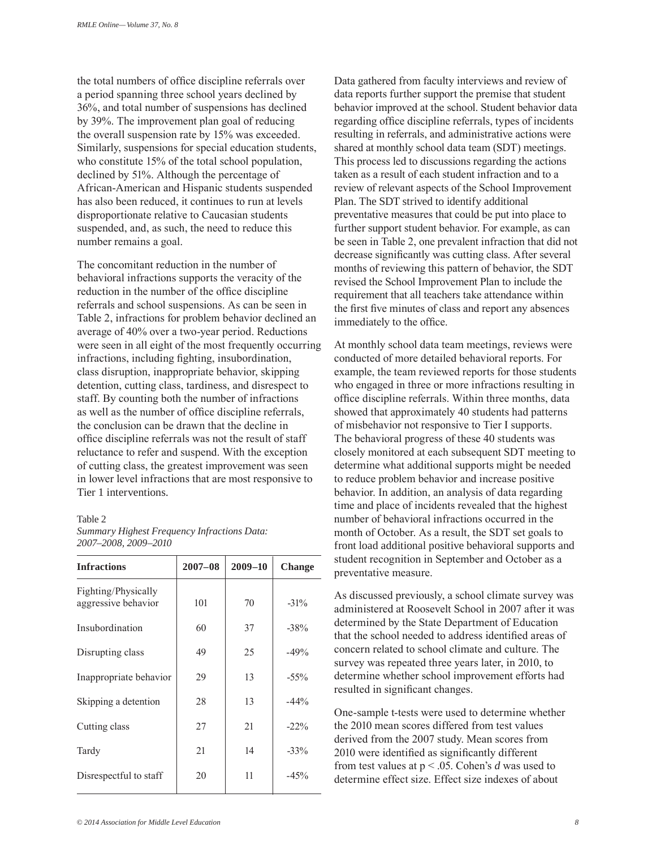the total numbers of office discipline referrals over a period spanning three school years declined by 36%, and total number of suspensions has declined by 39%. The improvement plan goal of reducing the overall suspension rate by 15% was exceeded. Similarly, suspensions for special education students, who constitute 15% of the total school population, declined by 51%. Although the percentage of African-American and Hispanic students suspended has also been reduced, it continues to run at levels disproportionate relative to Caucasian students suspended, and, as such, the need to reduce this number remains a goal.

The concomitant reduction in the number of behavioral infractions supports the veracity of the reduction in the number of the office discipline referrals and school suspensions. As can be seen in Table 2, infractions for problem behavior declined an average of 40% over a two-year period. Reductions were seen in all eight of the most frequently occurring infractions, including fighting, insubordination, class disruption, inappropriate behavior, skipping detention, cutting class, tardiness, and disrespect to staff. By counting both the number of infractions as well as the number of office discipline referrals, the conclusion can be drawn that the decline in office discipline referrals was not the result of staff reluctance to refer and suspend. With the exception of cutting class, the greatest improvement was seen in lower level infractions that are most responsive to Tier 1 interventions.

### Table 2

| 2007 2000, 2007 2010                       |             |             |               |  |  |  |  |
|--------------------------------------------|-------------|-------------|---------------|--|--|--|--|
| <b>Infractions</b>                         | $2007 - 08$ | $2009 - 10$ | <b>Change</b> |  |  |  |  |
| Fighting/Physically<br>aggressive behavior | 101         | 70          | $-31\%$       |  |  |  |  |
| Insubordination                            | 60          | 37          | $-38%$        |  |  |  |  |
| Disrupting class                           | 49          | 25          | $-49%$        |  |  |  |  |
| Inappropriate behavior                     | 29          | 13          | $-55\%$       |  |  |  |  |
| Skipping a detention                       | 28          | 13          | $-44%$        |  |  |  |  |
| Cutting class                              | 27          | 21          | $-22\%$       |  |  |  |  |
| Tardy                                      | 21          | 14          | $-33%$        |  |  |  |  |
| Disrespectful to staff                     | 20          | 11          | $-45%$        |  |  |  |  |
|                                            |             |             |               |  |  |  |  |

*Summary Highest Frequency Infractions Data: 2007–2008, 2009–2010*

Data gathered from faculty interviews and review of data reports further support the premise that student behavior improved at the school. Student behavior data regarding office discipline referrals, types of incidents resulting in referrals, and administrative actions were shared at monthly school data team (SDT) meetings. This process led to discussions regarding the actions taken as a result of each student infraction and to a review of relevant aspects of the School Improvement Plan. The SDT strived to identify additional preventative measures that could be put into place to further support student behavior. For example, as can be seen in Table 2, one prevalent infraction that did not decrease significantly was cutting class. After several months of reviewing this pattern of behavior, the SDT revised the School Improvement Plan to include the requirement that all teachers take attendance within the first five minutes of class and report any absences immediately to the office.

At monthly school data team meetings, reviews were conducted of more detailed behavioral reports. For example, the team reviewed reports for those students who engaged in three or more infractions resulting in office discipline referrals. Within three months, data showed that approximately 40 students had patterns of misbehavior not responsive to Tier I supports. The behavioral progress of these 40 students was closely monitored at each subsequent SDT meeting to determine what additional supports might be needed to reduce problem behavior and increase positive behavior. In addition, an analysis of data regarding time and place of incidents revealed that the highest number of behavioral infractions occurred in the month of October. As a result, the SDT set goals to front load additional positive behavioral supports and student recognition in September and October as a preventative measure.

As discussed previously, a school climate survey was administered at Roosevelt School in 2007 after it was determined by the State Department of Education that the school needed to address identified areas of concern related to school climate and culture. The survey was repeated three years later, in 2010, to determine whether school improvement efforts had resulted in significant changes.

One-sample t-tests were used to determine whether the 2010 mean scores differed from test values derived from the 2007 study. Mean scores from 2010 were identified as significantly different from test values at p < .05. Cohen's *d* was used to determine effect size. Effect size indexes of about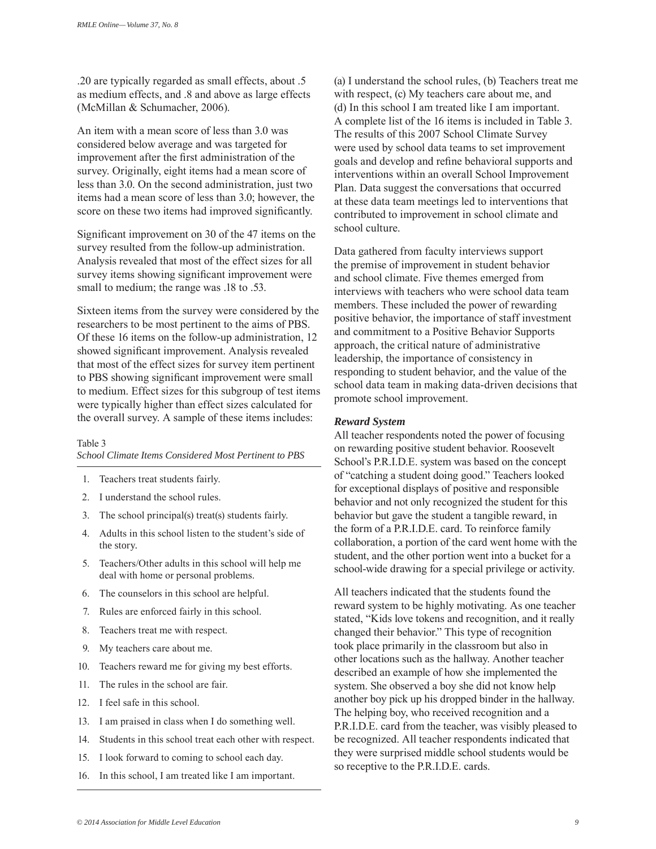.20 are typically regarded as small effects, about .5 as medium effects, and .8 and above as large effects (McMillan & Schumacher, 2006).

An item with a mean score of less than 3.0 was considered below average and was targeted for improvement after the first administration of the survey. Originally, eight items had a mean score of less than 3.0. On the second administration, just two items had a mean score of less than 3.0; however, the score on these two items had improved significantly.

Significant improvement on 30 of the 47 items on the survey resulted from the follow-up administration. Analysis revealed that most of the effect sizes for all survey items showing significant improvement were small to medium; the range was .18 to .53.

Sixteen items from the survey were considered by the researchers to be most pertinent to the aims of PBS. Of these 16 items on the follow-up administration, 12 showed significant improvement. Analysis revealed that most of the effect sizes for survey item pertinent to PBS showing significant improvement were small to medium. Effect sizes for this subgroup of test items were typically higher than effect sizes calculated for the overall survey. A sample of these items includes:

### Table 3 *School Climate Items Considered Most Pertinent to PBS*

- 1. Teachers treat students fairly.
- 2. I understand the school rules.
- 3. The school principal(s) treat(s) students fairly.
- 4. Adults in this school listen to the student's side of the story.
- 5. Teachers/Other adults in this school will help me deal with home or personal problems.
- 6. The counselors in this school are helpful.
- 7. Rules are enforced fairly in this school.
- 8. Teachers treat me with respect.
- 9. My teachers care about me.
- 10. Teachers reward me for giving my best efforts.
- 11. The rules in the school are fair.
- 12. I feel safe in this school.
- 13. I am praised in class when I do something well.
- 14. Students in this school treat each other with respect.
- 15. I look forward to coming to school each day.
- 16. In this school, I am treated like I am important.

(a) I understand the school rules, (b) Teachers treat me with respect, (c) My teachers care about me, and (d) In this school I am treated like I am important. A complete list of the 16 items is included in Table 3. The results of this 2007 School Climate Survey were used by school data teams to set improvement goals and develop and refine behavioral supports and interventions within an overall School Improvement Plan. Data suggest the conversations that occurred at these data team meetings led to interventions that contributed to improvement in school climate and school culture.

Data gathered from faculty interviews support the premise of improvement in student behavior and school climate. Five themes emerged from interviews with teachers who were school data team members. These included the power of rewarding positive behavior, the importance of staff investment and commitment to a Positive Behavior Supports approach, the critical nature of administrative leadership, the importance of consistency in responding to student behavior, and the value of the school data team in making data-driven decisions that promote school improvement.

### *Reward System*

All teacher respondents noted the power of focusing on rewarding positive student behavior. Roosevelt School's P.R.I.D.E. system was based on the concept of "catching a student doing good." Teachers looked for exceptional displays of positive and responsible behavior and not only recognized the student for this behavior but gave the student a tangible reward, in the form of a P.R.I.D.E. card. To reinforce family collaboration, a portion of the card went home with the student, and the other portion went into a bucket for a school-wide drawing for a special privilege or activity.

All teachers indicated that the students found the reward system to be highly motivating. As one teacher stated, "Kids love tokens and recognition, and it really changed their behavior." This type of recognition took place primarily in the classroom but also in other locations such as the hallway. Another teacher described an example of how she implemented the system. She observed a boy she did not know help another boy pick up his dropped binder in the hallway. The helping boy, who received recognition and a P.R.I.D.E. card from the teacher, was visibly pleased to be recognized. All teacher respondents indicated that they were surprised middle school students would be so receptive to the P.R.I.D.E. cards.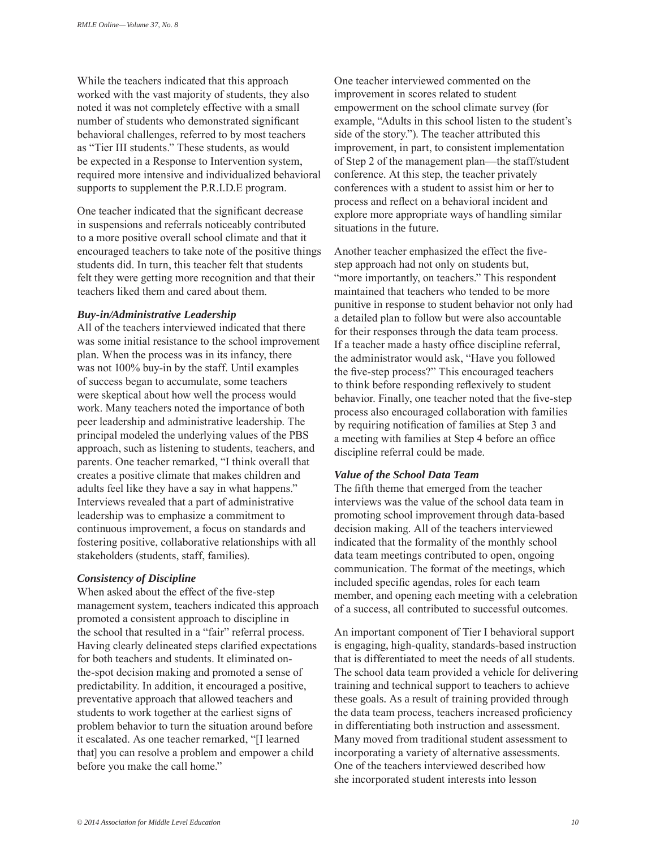While the teachers indicated that this approach worked with the vast majority of students, they also noted it was not completely effective with a small number of students who demonstrated significant behavioral challenges, referred to by most teachers as "Tier III students." These students, as would be expected in a Response to Intervention system, required more intensive and individualized behavioral supports to supplement the P.R.I.D.E program.

One teacher indicated that the significant decrease in suspensions and referrals noticeably contributed to a more positive overall school climate and that it encouraged teachers to take note of the positive things students did. In turn, this teacher felt that students felt they were getting more recognition and that their teachers liked them and cared about them.

### *Buy-in/Administrative Leadership*

All of the teachers interviewed indicated that there was some initial resistance to the school improvement plan. When the process was in its infancy, there was not 100% buy-in by the staff. Until examples of success began to accumulate, some teachers were skeptical about how well the process would work. Many teachers noted the importance of both peer leadership and administrative leadership. The principal modeled the underlying values of the PBS approach, such as listening to students, teachers, and parents. One teacher remarked, "I think overall that creates a positive climate that makes children and adults feel like they have a say in what happens." Interviews revealed that a part of administrative leadership was to emphasize a commitment to continuous improvement, a focus on standards and fostering positive, collaborative relationships with all stakeholders (students, staff, families).

### *Consistency of Discipline*

When asked about the effect of the five-step management system, teachers indicated this approach promoted a consistent approach to discipline in the school that resulted in a "fair" referral process. Having clearly delineated steps clarified expectations for both teachers and students. It eliminated onthe-spot decision making and promoted a sense of predictability. In addition, it encouraged a positive, preventative approach that allowed teachers and students to work together at the earliest signs of problem behavior to turn the situation around before it escalated. As one teacher remarked, "[I learned that] you can resolve a problem and empower a child before you make the call home."

One teacher interviewed commented on the improvement in scores related to student empowerment on the school climate survey (for example, "Adults in this school listen to the student's side of the story."). The teacher attributed this improvement, in part, to consistent implementation of Step 2 of the management plan—the staff/student conference. At this step, the teacher privately conferences with a student to assist him or her to process and reflect on a behavioral incident and explore more appropriate ways of handling similar situations in the future.

Another teacher emphasized the effect the fivestep approach had not only on students but, "more importantly, on teachers." This respondent maintained that teachers who tended to be more punitive in response to student behavior not only had a detailed plan to follow but were also accountable for their responses through the data team process. If a teacher made a hasty office discipline referral, the administrator would ask, "Have you followed the five-step process?" This encouraged teachers to think before responding reflexively to student behavior. Finally, one teacher noted that the five-step process also encouraged collaboration with families by requiring notification of families at Step 3 and a meeting with families at Step 4 before an office discipline referral could be made.

### *Value of the School Data Team*

The fifth theme that emerged from the teacher interviews was the value of the school data team in promoting school improvement through data-based decision making. All of the teachers interviewed indicated that the formality of the monthly school data team meetings contributed to open, ongoing communication. The format of the meetings, which included specific agendas, roles for each team member, and opening each meeting with a celebration of a success, all contributed to successful outcomes.

An important component of Tier I behavioral support is engaging, high-quality, standards-based instruction that is differentiated to meet the needs of all students. The school data team provided a vehicle for delivering training and technical support to teachers to achieve these goals. As a result of training provided through the data team process, teachers increased proficiency in differentiating both instruction and assessment. Many moved from traditional student assessment to incorporating a variety of alternative assessments. One of the teachers interviewed described how she incorporated student interests into lesson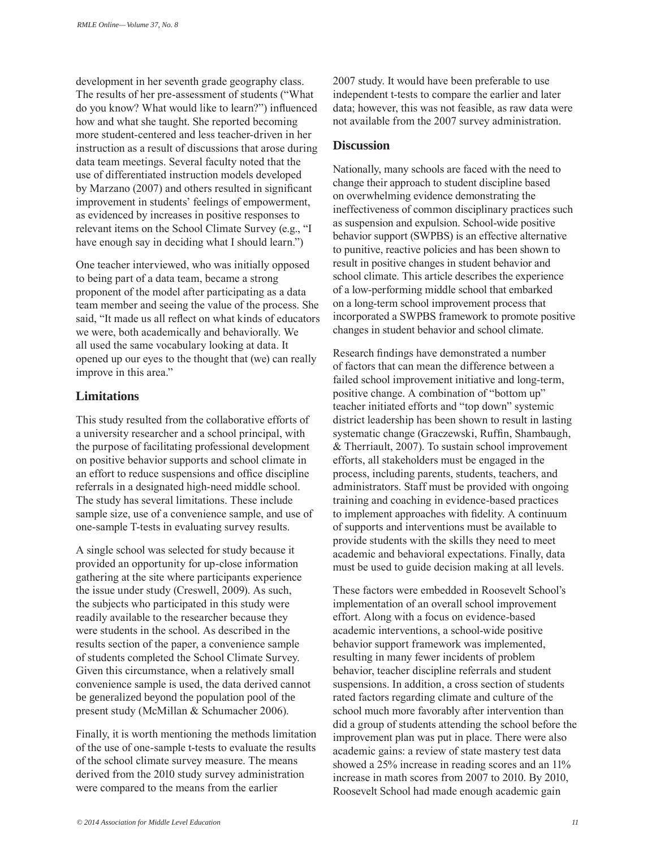development in her seventh grade geography class. The results of her pre-assessment of students ("What do you know? What would like to learn?") influenced how and what she taught. She reported becoming more student-centered and less teacher-driven in her instruction as a result of discussions that arose during data team meetings. Several faculty noted that the use of differentiated instruction models developed by Marzano (2007) and others resulted in significant improvement in students' feelings of empowerment, as evidenced by increases in positive responses to relevant items on the School Climate Survey (e.g., "I have enough say in deciding what I should learn.")

One teacher interviewed, who was initially opposed to being part of a data team, became a strong proponent of the model after participating as a data team member and seeing the value of the process. She said, "It made us all reflect on what kinds of educators we were, both academically and behaviorally. We all used the same vocabulary looking at data. It opened up our eyes to the thought that (we) can really improve in this area."

# **Limitations**

This study resulted from the collaborative efforts of a university researcher and a school principal, with the purpose of facilitating professional development on positive behavior supports and school climate in an effort to reduce suspensions and office discipline referrals in a designated high-need middle school. The study has several limitations. These include sample size, use of a convenience sample, and use of one-sample T-tests in evaluating survey results.

A single school was selected for study because it provided an opportunity for up-close information gathering at the site where participants experience the issue under study (Creswell, 2009). As such, the subjects who participated in this study were readily available to the researcher because they were students in the school. As described in the results section of the paper, a convenience sample of students completed the School Climate Survey. Given this circumstance, when a relatively small convenience sample is used, the data derived cannot be generalized beyond the population pool of the present study (McMillan & Schumacher 2006).

Finally, it is worth mentioning the methods limitation of the use of one-sample t-tests to evaluate the results of the school climate survey measure. The means derived from the 2010 study survey administration were compared to the means from the earlier

2007 study. It would have been preferable to use independent t-tests to compare the earlier and later data; however, this was not feasible, as raw data were not available from the 2007 survey administration.

## **Discussion**

Nationally, many schools are faced with the need to change their approach to student discipline based on overwhelming evidence demonstrating the ineffectiveness of common disciplinary practices such as suspension and expulsion. School-wide positive behavior support (SWPBS) is an effective alternative to punitive, reactive policies and has been shown to result in positive changes in student behavior and school climate. This article describes the experience of a low-performing middle school that embarked on a long-term school improvement process that incorporated a SWPBS framework to promote positive changes in student behavior and school climate.

Research findings have demonstrated a number of factors that can mean the difference between a failed school improvement initiative and long-term, positive change. A combination of "bottom up" teacher initiated efforts and "top down" systemic district leadership has been shown to result in lasting systematic change (Graczewski, Ruffin, Shambaugh, & Therriault, 2007). To sustain school improvement efforts, all stakeholders must be engaged in the process, including parents, students, teachers, and administrators. Staff must be provided with ongoing training and coaching in evidence-based practices to implement approaches with fidelity. A continuum of supports and interventions must be available to provide students with the skills they need to meet academic and behavioral expectations. Finally, data must be used to guide decision making at all levels.

These factors were embedded in Roosevelt School's implementation of an overall school improvement effort. Along with a focus on evidence-based academic interventions, a school-wide positive behavior support framework was implemented, resulting in many fewer incidents of problem behavior, teacher discipline referrals and student suspensions. In addition, a cross section of students rated factors regarding climate and culture of the school much more favorably after intervention than did a group of students attending the school before the improvement plan was put in place. There were also academic gains: a review of state mastery test data showed a 25% increase in reading scores and an  $11\%$ increase in math scores from 2007 to 2010. By 2010, Roosevelt School had made enough academic gain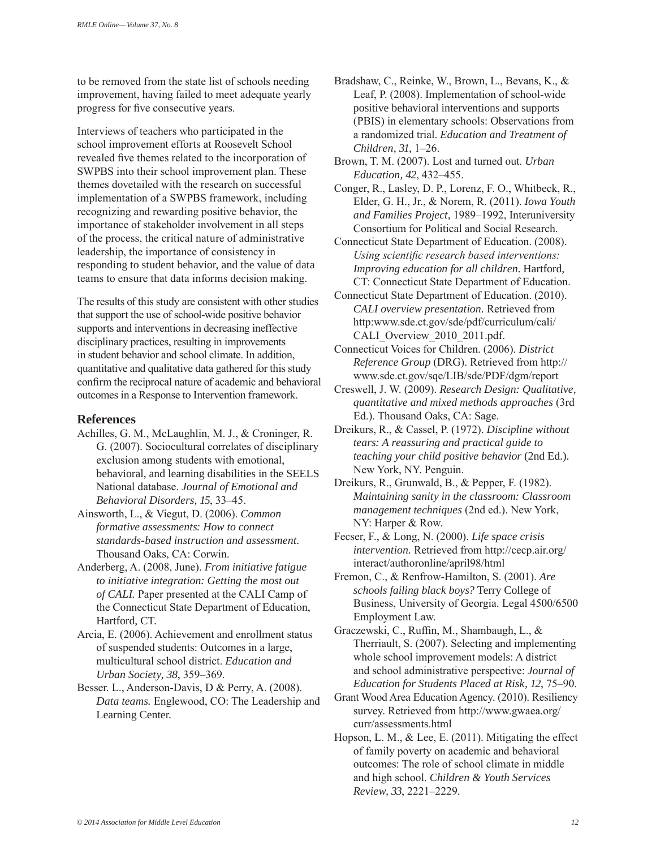to be removed from the state list of schools needing improvement, having failed to meet adequate yearly progress for five consecutive years.

Interviews of teachers who participated in the school improvement efforts at Roosevelt School revealed five themes related to the incorporation of SWPBS into their school improvement plan. These themes dovetailed with the research on successful implementation of a SWPBS framework, including recognizing and rewarding positive behavior, the importance of stakeholder involvement in all steps of the process, the critical nature of administrative leadership, the importance of consistency in responding to student behavior, and the value of data teams to ensure that data informs decision making.

The results of this study are consistent with other studies that support the use of school-wide positive behavior supports and interventions in decreasing ineffective disciplinary practices, resulting in improvements in student behavior and school climate. In addition, quantitative and qualitative data gathered for this study confirm the reciprocal nature of academic and behavioral outcomes in a Response to Intervention framework.

### **References**

- Achilles, G. M., McLaughlin, M. J., & Croninger, R. G. (2007). Sociocultural correlates of disciplinary exclusion among students with emotional, behavioral, and learning disabilities in the SEELS National database. *Journal of Emotional and Behavioral Disorders, 15*, 33–45.
- Ainsworth, L., & Viegut, D. (2006). *Common formative assessments: How to connect standards-based instruction and assessment.*  Thousand Oaks, CA: Corwin.
- Anderberg, A. (2008, June). *From initiative fatigue to initiative integration: Getting the most out of CALI.* Paper presented at the CALI Camp of the Connecticut State Department of Education, Hartford, CT.
- Arcia, E. (2006). Achievement and enrollment status of suspended students: Outcomes in a large, multicultural school district. *Education and Urban Society, 38*, 359–369.
- Besser. L., Anderson-Davis, D & Perry, A. (2008). *Data teams.* Englewood, CO: The Leadership and Learning Center.
- Bradshaw, C., Reinke, W., Brown, L., Bevans, K., & Leaf, P. (2008). Implementation of school-wide positive behavioral interventions and supports (PBIS) in elementary schools: Observations from a randomized trial. *Education and Treatment of Children, 31,* 1–26.
- Brown, T. M. (2007). Lost and turned out. *Urban Education, 42*, 432–455.
- Conger, R., Lasley, D. P., Lorenz, F. O., Whitbeck, R., Elder, G. H., Jr., & Norem, R. (2011). *Iowa Youth and Families Project,* 1989–1992, Interuniversity Consortium for Political and Social Research.
- Connecticut State Department of Education. (2008). *Using scientific research based interventions: Improving education for all children*. Hartford, CT: Connecticut State Department of Education.
- Connecticut State Department of Education. (2010). *CALI overview presentation.* Retrieved from http:www.sde.ct.gov/sde/pdf/curriculum/cali/ CALI Overview 2010 2011.pdf.
- Connecticut Voices for Children. (2006). *District Reference Group* (DRG). Retrieved from http:// www.sde.ct.gov/sqe/LIB/sde/PDF/dgm/report
- Creswell, J. W. (2009). *Research Design: Qualitative, quantitative and mixed methods approaches* (3rd Ed.). Thousand Oaks, CA: Sage.
- Dreikurs, R., & Cassel, P. (1972). *Discipline without tears: A reassuring and practical guide to teaching your child positive behavior* (2nd Ed.). New York, NY. Penguin.
- Dreikurs, R., Grunwald, B., & Pepper, F. (1982). *Maintaining sanity in the classroom: Classroom management techniques* (2nd ed.). New York, NY: Harper & Row.
- Fecser, F., & Long, N. (2000). *Life space crisis intervention.* Retrieved from http://cecp.air.org/ interact/authoronline/april98/html
- Fremon, C., & Renfrow-Hamilton, S. (2001). *Are schools failing black boys?* Terry College of Business, University of Georgia. Legal 4500/6500 Employment Law.
- Graczewski, C., Ruffin, M., Shambaugh, L., & Therriault, S. (2007). Selecting and implementing whole school improvement models: A district and school administrative perspective: *Journal of Education for Students Placed at Risk, 12*, 75–90.
- Grant Wood Area Education Agency. (2010). Resiliency survey. Retrieved from http://www.gwaea.org/ curr/assessments.html
- Hopson, L. M., & Lee, E. (2011). Mitigating the effect of family poverty on academic and behavioral outcomes: The role of school climate in middle and high school. *Children & Youth Services Review, 33*, 2221–2229.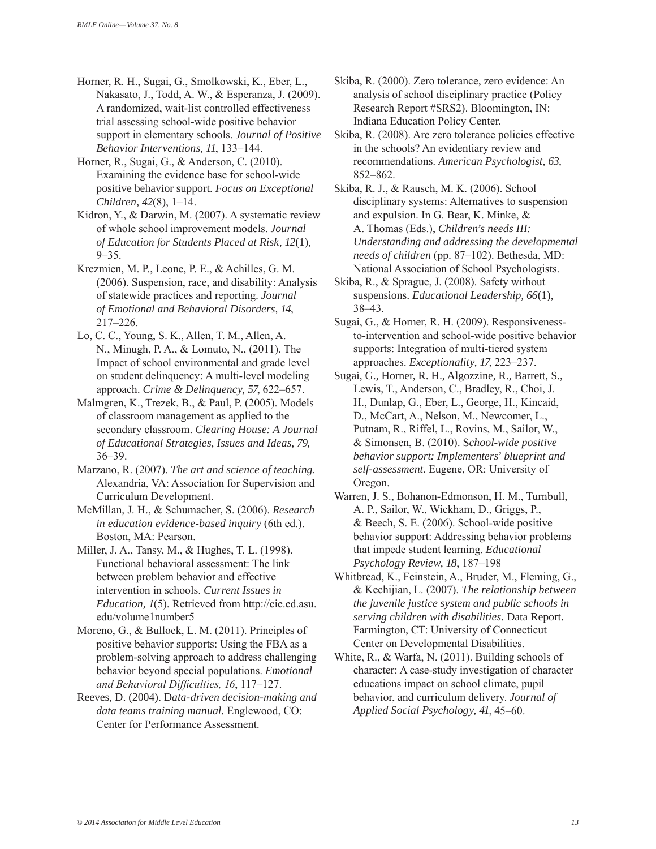Horner, R. H., Sugai, G., Smolkowski, K., Eber, L., Nakasato, J., Todd, A. W., & Esperanza, J. (2009). A randomized, wait-list controlled effectiveness trial assessing school-wide positive behavior support in elementary schools. *Journal of Positive Behavior Interventions, 11*, 133–144.

Horner, R., Sugai, G., & Anderson, C. (2010). Examining the evidence base for school-wide positive behavior support. *Focus on Exceptional Children, 42*(8), 1–14.

Kidron, Y., & Darwin, M. (2007). A systematic review of whole school improvement models. *Journal of Education for Students Placed at Risk, 12*(1),  $9 - 35.$ 

Krezmien, M. P., Leone, P. E., & Achilles, G. M. (2006). Suspension, race, and disability: Analysis of statewide practices and reporting. *Journal of Emotional and Behavioral Disorders, 14*, 217–226.

Lo, C. C., Young, S. K., Allen, T. M., Allen, A. N., Minugh, P. A., & Lomuto, N., (2011). The Impact of school environmental and grade level on student delinquency: A multi-level modeling approach. *Crime & Delinquency, 57*, 622–657.

Malmgren, K., Trezek, B., & Paul, P. (2005). Models of classroom management as applied to the secondary classroom. *Clearing House: A Journal of Educational Strategies, Issues and Ideas, 79*, 36–39.

Marzano, R. (2007). *The art and science of teaching.* Alexandria, VA: Association for Supervision and Curriculum Development.

McMillan, J. H., & Schumacher, S. (2006). *Research in education evidence-based inquiry* (6th ed.). Boston, MA: Pearson.

Miller, J. A., Tansy, M., & Hughes, T. L. (1998). Functional behavioral assessment: The link between problem behavior and effective intervention in schools. *Current Issues in Education, 1*(5). Retrieved from http://cie.ed.asu. edu/volume1number5

Moreno, G., & Bullock, L. M. (2011). Principles of positive behavior supports: Using the FBA as a problem-solving approach to address challenging behavior beyond special populations. *Emotional and Behavioral Difficulties, 16*, 117–127.

Reeves, D. (2004). D*ata-driven decision-making and data teams training manual.* Englewood, CO: Center for Performance Assessment.

- Skiba, R. (2000). Zero tolerance, zero evidence: An analysis of school disciplinary practice (Policy Research Report #SRS2). Bloomington, IN: Indiana Education Policy Center.
- Skiba, R. (2008). Are zero tolerance policies effective in the schools? An evidentiary review and recommendations. *American Psychologist, 63*, 852–862.

Skiba, R. J., & Rausch, M. K. (2006). School disciplinary systems: Alternatives to suspension and expulsion. In G. Bear, K. Minke, & A. Thomas (Eds.), *Children's needs III: Understanding and addressing the developmental needs of children* (pp. 87–102). Bethesda, MD: National Association of School Psychologists.

Skiba, R., & Sprague, J. (2008). Safety without suspensions. *Educational Leadership, 66*(1), 38–43.

- Sugai, G., & Horner, R. H. (2009). Responsivenessto-intervention and school-wide positive behavior supports: Integration of multi-tiered system approaches. *Exceptionality, 17*, 223–237.
- Sugai, G., Horner, R. H., Algozzine, R., Barrett, S., Lewis, T., Anderson, C., Bradley, R., Choi, J. H., Dunlap, G., Eber, L., George, H., Kincaid, D., McCart, A., Nelson, M., Newcomer, L., Putnam, R., Riffel, L., Rovins, M., Sailor, W., & Simonsen, B. (2010). S*chool-wide positive behavior support: Implementers' blueprint and self-assessment*. Eugene, OR: University of Oregon.
- Warren, J. S., Bohanon-Edmonson, H. M., Turnbull, A. P., Sailor, W., Wickham, D., Griggs, P., & Beech, S. E. (2006). School-wide positive behavior support: Addressing behavior problems that impede student learning. *Educational Psychology Review, 18*, 187–198

Whitbread, K., Feinstein, A., Bruder, M., Fleming, G., & Kechijian, L. (2007). *The relationship between the juvenile justice system and public schools in serving children with disabilities.* Data Report. Farmington, CT: University of Connecticut Center on Developmental Disabilities.

White, R., & Warfa, N. (2011). Building schools of character: A case-study investigation of character educations impact on school climate, pupil behavior, and curriculum delivery. *Journal of Applied Social Psychology, 41*, 45–60.